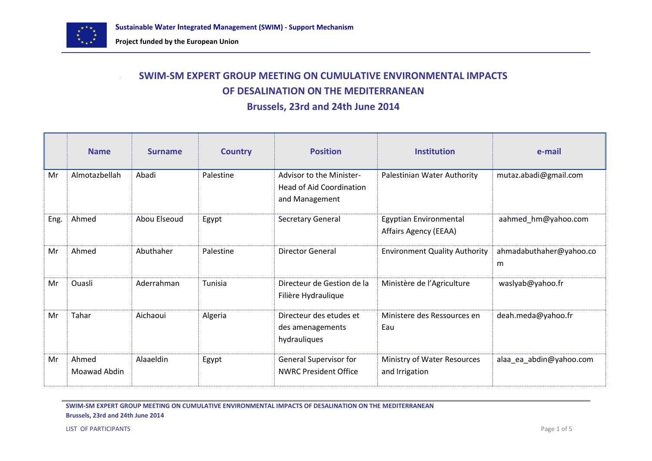

# **SWIM-SM EXPERT GROUP MEETING ON CUMULATIVE ENVIRONMENTAL IMPACTS OF DESALINATION ON THE MEDITERRANEAN**

**Brussels, 23rd and 24th June 2014** 

|      | <b>Name</b>           | <b>Surname</b> | <b>Country</b> | <b>Position</b>                                                               | <b>Institution</b>                              | e-mail                       |
|------|-----------------------|----------------|----------------|-------------------------------------------------------------------------------|-------------------------------------------------|------------------------------|
| Mr   | Almotazbellah         | Abadi          | Palestine      | Advisor to the Minister-<br><b>Head of Aid Coordination</b><br>and Management | Palestinian Water Authority                     | mutaz.abadi@gmail.com        |
| Eng. | Ahmed                 | Abou Elseoud   | Egypt          | Secretary General                                                             | Egyptian Environmental<br>Affairs Agency (EEAA) | aahmed_hm@yahoo.com          |
| Mr   | Ahmed                 | Abuthaher      | Palestine      | <b>Director General</b>                                                       | <b>Environment Quality Authority</b>            | ahmadabuthaher@yahoo.co<br>m |
| Mr   | Ouasli                | Aderrahman     | Tunisia        | Directeur de Gestion de la<br>Filière Hydraulique                             | Ministère de l'Agriculture                      | waslyab@yahoo.fr             |
| Mr   | Tahar                 | Aichaoui       | Algeria        | Directeur des etudes et<br>des amenagements<br>hydrauliques                   | Ministere des Ressources en<br>Eau              | deah.meda@yahoo.fr           |
| Mr   | Ahmed<br>Moawad Abdin | Alaaeldin      | Egypt          | <b>General Supervisor for</b><br><b>NWRC President Office</b>                 | Ministry of Water Resources<br>and Irrigation   | alaa ea abdin@yahoo.com      |

**SWIM-SM EXPERT GROUP MEETING ON CUMULATIVE ENVIRONMENTAL IMPACTS OF DESALINATION ON THE MEDITERRANEAN Brussels, 23rd and 24th June 2014**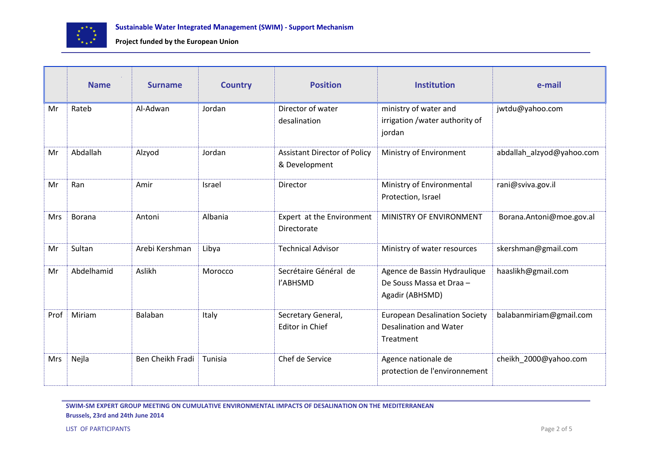

|            | <b>Name</b> | <b>Surname</b>   | <b>Country</b> | <b>Position</b>                                      | <b>Institution</b>                                                                 | e-mail                    |
|------------|-------------|------------------|----------------|------------------------------------------------------|------------------------------------------------------------------------------------|---------------------------|
| Mr         | Rateb       | Al-Adwan         | Jordan         | Director of water<br>desalination                    | ministry of water and<br>irrigation / water authority of<br>jordan                 | jwtdu@yahoo.com           |
| Mr         | Abdallah    | Alzyod           | Jordan         | <b>Assistant Director of Policy</b><br>& Development | Ministry of Environment                                                            | abdallah_alzyod@yahoo.com |
| Mr         | Ran         | Amir             | Israel         | Director                                             | Ministry of Environmental<br>Protection, Israel                                    | rani@sviva.gov.il         |
| <b>Mrs</b> | Borana      | Antoni           | Albania        | Expert at the Environment<br>Directorate             | MINISTRY OF ENVIRONMENT                                                            | Borana.Antoni@moe.gov.al  |
| Mr         | Sultan      | Arebi Kershman   | Libya          | <b>Technical Advisor</b>                             | Ministry of water resources                                                        | skershman@gmail.com       |
| Mr         | Abdelhamid  | Aslikh           | Morocco        | Secrétaire Général de<br>l'ABHSMD                    | Agence de Bassin Hydraulique<br>De Souss Massa et Draa -<br>Agadir (ABHSMD)        | haaslikh@gmail.com        |
| Prof       | Miriam      | Balaban          | Italy          | Secretary General,<br><b>Editor in Chief</b>         | <b>European Desalination Society</b><br><b>Desalination and Water</b><br>Treatment | balabanmiriam@gmail.com   |
| <b>Mrs</b> | Nejla       | Ben Cheikh Fradi | Tunisia        | Chef de Service                                      | Agence nationale de<br>protection de l'environnement                               | cheikh 2000@yahoo.com     |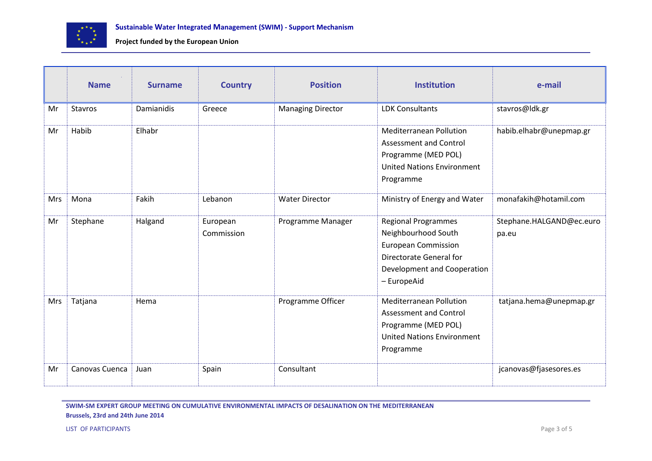

|            | <b>Name</b>    | <b>Surname</b> | <b>Country</b>         | <b>Position</b>          | <b>Institution</b>                                                                                                                                       | e-mail                            |
|------------|----------------|----------------|------------------------|--------------------------|----------------------------------------------------------------------------------------------------------------------------------------------------------|-----------------------------------|
| Mr         | <b>Stavros</b> | Damianidis     | Greece                 | <b>Managing Director</b> | <b>LDK Consultants</b>                                                                                                                                   | stavros@ldk.gr                    |
| Mr         | Habib          | Elhabr         |                        |                          | <b>Mediterranean Pollution</b><br><b>Assessment and Control</b><br>Programme (MED POL)<br><b>United Nations Environment</b><br>Programme                 | habib.elhabr@unepmap.gr           |
| <b>Mrs</b> | Mona           | Fakih          | Lebanon                | <b>Water Director</b>    | Ministry of Energy and Water                                                                                                                             | monafakih@hotamil.com             |
| Mr         | Stephane       | Halgand        | European<br>Commission | Programme Manager        | <b>Regional Programmes</b><br>Neighbourhood South<br><b>European Commission</b><br>Directorate General for<br>Development and Cooperation<br>- EuropeAid | Stephane.HALGAND@ec.euro<br>pa.eu |
| Mrs        | Tatjana        | Hema           |                        | Programme Officer        | <b>Mediterranean Pollution</b><br>Assessment and Control<br>Programme (MED POL)<br><b>United Nations Environment</b><br>Programme                        | tatjana.hema@unepmap.gr           |
| Mr         | Canovas Cuenca | Juan           | Spain                  | Consultant               |                                                                                                                                                          | jcanovas@fjasesores.es            |

**SWIM-SM EXPERT GROUP MEETING ON CUMULATIVE ENVIRONMENTAL IMPACTS OF DESALINATION ON THE MEDITERRANEAN Brussels, 23rd and 24th June 2014**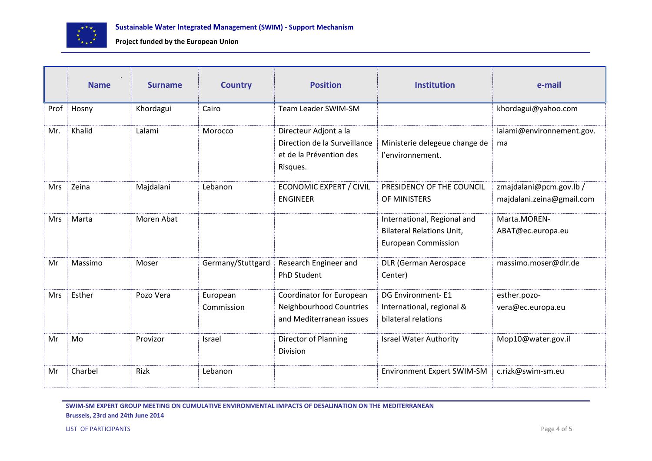

|            | <b>Name</b> | <b>Surname</b> | <b>Country</b>         | <b>Position</b>                                                                              | <b>Institution</b>                                                                            | e-mail                                               |
|------------|-------------|----------------|------------------------|----------------------------------------------------------------------------------------------|-----------------------------------------------------------------------------------------------|------------------------------------------------------|
| Prof       | Hosny       | Khordagui      | Cairo                  | Team Leader SWIM-SM                                                                          |                                                                                               | khordagui@yahoo.com                                  |
| Mr.        | Khalid      | Lalami         | Morocco                | Directeur Adjont a la<br>Direction de la Surveillance<br>et de la Prévention des<br>Risques. | Ministerie delegeue change de<br>l'environnement.                                             | lalami@environnement.gov.<br>ma                      |
| <b>Mrs</b> | Zeina       | Majdalani      | Lebanon                | <b>ECONOMIC EXPERT / CIVIL</b><br><b>ENGINEER</b>                                            | PRESIDENCY OF THE COUNCIL<br>OF MINISTERS                                                     | zmajdalani@pcm.gov.lb /<br>majdalani.zeina@gmail.com |
| <b>Mrs</b> | Marta       | Moren Abat     |                        |                                                                                              | International, Regional and<br><b>Bilateral Relations Unit,</b><br><b>European Commission</b> | Marta.MOREN-<br>ABAT@ec.europa.eu                    |
| Mr         | Massimo     | Moser          | Germany/Stuttgard      | Research Engineer and<br><b>PhD Student</b>                                                  | <b>DLR (German Aerospace</b><br>Center)                                                       | massimo.moser@dlr.de                                 |
| <b>Mrs</b> | Esther      | Pozo Vera      | European<br>Commission | Coordinator for European<br>Neighbourhood Countries<br>and Mediterranean issues              | <b>DG Environment-E1</b><br>International, regional &<br>bilateral relations                  | esther.pozo-<br>vera@ec.europa.eu                    |
| Mr         | Mo          | Provizor       | Israel                 | <b>Director of Planning</b><br>Division                                                      | <b>Israel Water Authority</b>                                                                 | Mop10@water.gov.il                                   |
| Mr         | Charbel     | Rizk           | Lebanon                |                                                                                              | <b>Environment Expert SWIM-SM</b>                                                             | c.rizk@swim-sm.eu                                    |

**SWIM-SM EXPERT GROUP MEETING ON CUMULATIVE ENVIRONMENTAL IMPACTS OF DESALINATION ON THE MEDITERRANEAN Brussels, 23rd and 24th June 2014**